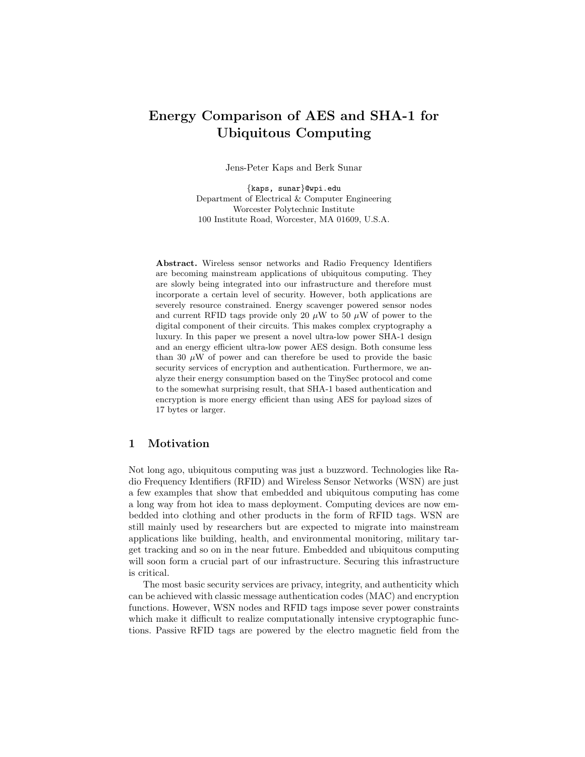# Energy Comparison of AES and SHA-1 for Ubiquitous Computing

Jens-Peter Kaps and Berk Sunar

{kaps, sunar}@wpi.edu Department of Electrical & Computer Engineering Worcester Polytechnic Institute 100 Institute Road, Worcester, MA 01609, U.S.A.

Abstract. Wireless sensor networks and Radio Frequency Identifiers are becoming mainstream applications of ubiquitous computing. They are slowly being integrated into our infrastructure and therefore must incorporate a certain level of security. However, both applications are severely resource constrained. Energy scavenger powered sensor nodes and current RFID tags provide only 20  $\mu$ W to 50  $\mu$ W of power to the digital component of their circuits. This makes complex cryptography a luxury. In this paper we present a novel ultra-low power SHA-1 design and an energy efficient ultra-low power AES design. Both consume less than 30  $\mu$ W of power and can therefore be used to provide the basic security services of encryption and authentication. Furthermore, we analyze their energy consumption based on the TinySec protocol and come to the somewhat surprising result, that SHA-1 based authentication and encryption is more energy efficient than using AES for payload sizes of 17 bytes or larger.

# 1 Motivation

Not long ago, ubiquitous computing was just a buzzword. Technologies like Radio Frequency Identifiers (RFID) and Wireless Sensor Networks (WSN) are just a few examples that show that embedded and ubiquitous computing has come a long way from hot idea to mass deployment. Computing devices are now embedded into clothing and other products in the form of RFID tags. WSN are still mainly used by researchers but are expected to migrate into mainstream applications like building, health, and environmental monitoring, military target tracking and so on in the near future. Embedded and ubiquitous computing will soon form a crucial part of our infrastructure. Securing this infrastructure is critical.

The most basic security services are privacy, integrity, and authenticity which can be achieved with classic message authentication codes (MAC) and encryption functions. However, WSN nodes and RFID tags impose sever power constraints which make it difficult to realize computationally intensive cryptographic functions. Passive RFID tags are powered by the electro magnetic field from the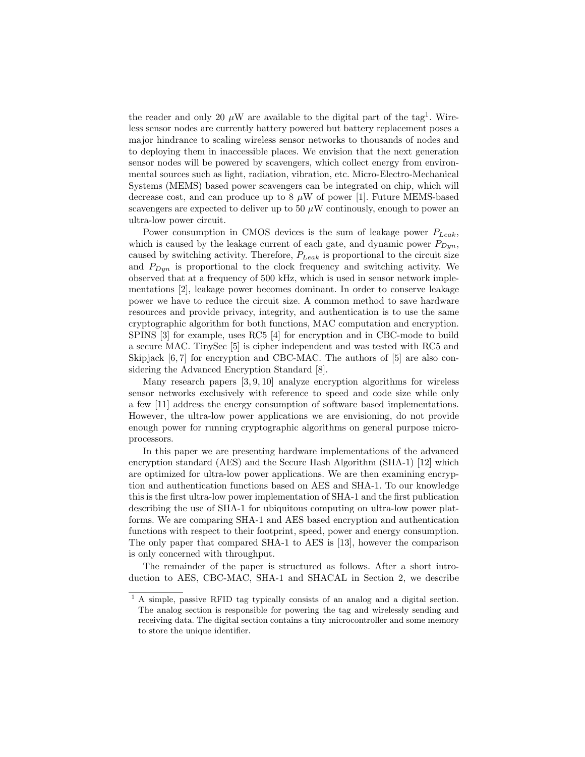the reader and only 20  $\mu$ W are available to the digital part of the tag<sup>1</sup>. Wireless sensor nodes are currently battery powered but battery replacement poses a major hindrance to scaling wireless sensor networks to thousands of nodes and to deploying them in inaccessible places. We envision that the next generation sensor nodes will be powered by scavengers, which collect energy from environmental sources such as light, radiation, vibration, etc. Micro-Electro-Mechanical Systems (MEMS) based power scavengers can be integrated on chip, which will decrease cost, and can produce up to 8  $\mu$ W of power [1]. Future MEMS-based scavengers are expected to deliver up to 50  $\mu$ W continuously, enough to power an ultra-low power circuit.

Power consumption in CMOS devices is the sum of leakage power  $P_{Leak}$ , which is caused by the leakage current of each gate, and dynamic power  $P_{Dun}$ , caused by switching activity. Therefore,  $P_{Leak}$  is proportional to the circuit size and  $P_{Dun}$  is proportional to the clock frequency and switching activity. We observed that at a frequency of 500 kHz, which is used in sensor network implementations [2], leakage power becomes dominant. In order to conserve leakage power we have to reduce the circuit size. A common method to save hardware resources and provide privacy, integrity, and authentication is to use the same cryptographic algorithm for both functions, MAC computation and encryption. SPINS [3] for example, uses RC5 [4] for encryption and in CBC-mode to build a secure MAC. TinySec [5] is cipher independent and was tested with RC5 and Skipjack [6,7] for encryption and CBC-MAC. The authors of [5] are also considering the Advanced Encryption Standard [8].

Many research papers [3, 9, 10] analyze encryption algorithms for wireless sensor networks exclusively with reference to speed and code size while only a few [11] address the energy consumption of software based implementations. However, the ultra-low power applications we are envisioning, do not provide enough power for running cryptographic algorithms on general purpose microprocessors.

In this paper we are presenting hardware implementations of the advanced encryption standard (AES) and the Secure Hash Algorithm (SHA-1) [12] which are optimized for ultra-low power applications. We are then examining encryption and authentication functions based on AES and SHA-1. To our knowledge this is the first ultra-low power implementation of SHA-1 and the first publication describing the use of SHA-1 for ubiquitous computing on ultra-low power platforms. We are comparing SHA-1 and AES based encryption and authentication functions with respect to their footprint, speed, power and energy consumption. The only paper that compared SHA-1 to AES is [13], however the comparison is only concerned with throughput.

The remainder of the paper is structured as follows. After a short introduction to AES, CBC-MAC, SHA-1 and SHACAL in Section 2, we describe

<sup>&</sup>lt;sup>1</sup> A simple, passive RFID tag typically consists of an analog and a digital section. The analog section is responsible for powering the tag and wirelessly sending and receiving data. The digital section contains a tiny microcontroller and some memory to store the unique identifier.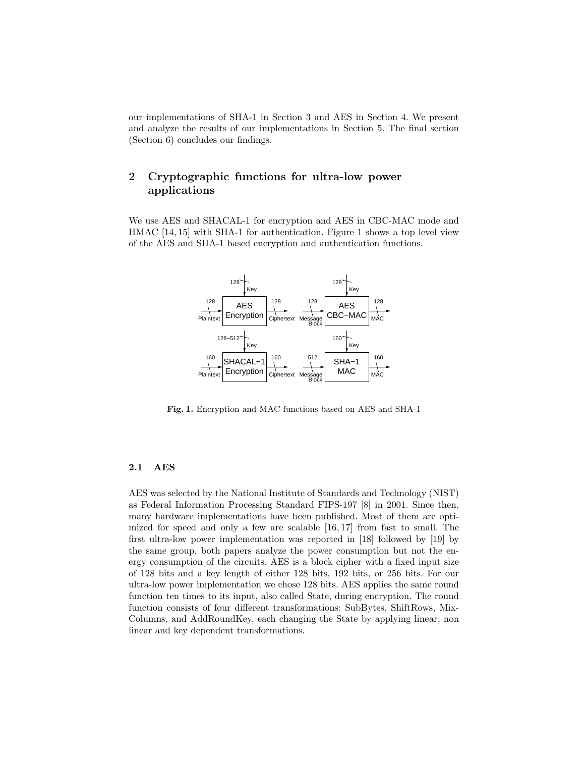our implementations of SHA-1 in Section 3 and AES in Section 4. We present and analyze the results of our implementations in Section 5. The final section (Section 6) concludes our findings.

# 2 Cryptographic functions for ultra-low power applications

We use AES and SHACAL-1 for encryption and AES in CBC-MAC mode and HMAC [14, 15] with SHA-1 for authentication. Figure 1 shows a top level view of the AES and SHA-1 based encryption and authentication functions.



Fig. 1. Encryption and MAC functions based on AES and SHA-1

### 2.1 AES

AES was selected by the National Institute of Standards and Technology (NIST) as Federal Information Processing Standard FIPS-197 [8] in 2001. Since then, many hardware implementations have been published. Most of them are optimized for speed and only a few are scalable [16, 17] from fast to small. The first ultra-low power implementation was reported in [18] followed by [19] by the same group, both papers analyze the power consumption but not the energy consumption of the circuits. AES is a block cipher with a fixed input size of 128 bits and a key length of either 128 bits, 192 bits, or 256 bits. For our ultra-low power implementation we chose 128 bits. AES applies the same round function ten times to its input, also called State, during encryption. The round function consists of four different transformations: SubBytes, ShiftRows, Mix-Columns, and AddRoundKey, each changing the State by applying linear, non linear and key dependent transformations.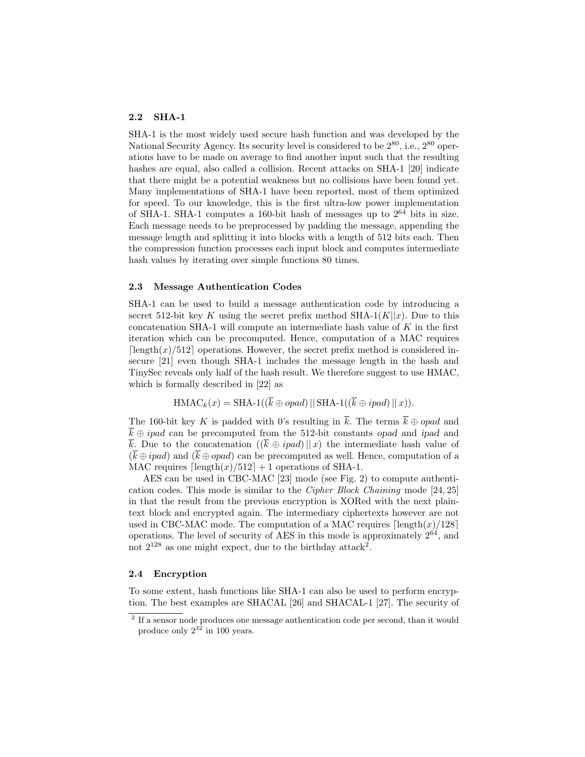### 2.2 SHA-1

SHA-1 is the most widely used secure hash function and was developed by the National Security Agency. Its security level is considered to be  $2^{80}$ , i.e.,  $2^{80}$  operations have to be made on average to find another input such that the resulting hashes are equal, also called a collision. Recent attacks on SHA-1 [20] indicate that there might be a potential weakness but no collisions have been found yet. Many implementations of SHA-1 have been reported, most of them optimized for speed. To our knowledge, this is the first ultra-low power implementation of SHA-1. SHA-1 computes a 160-bit hash of messages up to  $2^{64}$  bits in size. Each message needs to be preprocessed by padding the message, appending the message length and splitting it into blocks with a length of 512 bits each. Then the compression function processes each input block and computes intermediate hash values by iterating over simple functions 80 times.

### 2.3 Message Authentication Codes

SHA-1 can be used to build a message authentication code by introducing a secret 512-bit key K using the secret prefix method SHA-1(K||x). Due to this concatenation SHA-1 will compute an intermediate hash value of  $K$  in the first iteration which can be precomputed. Hence, computation of a MAC requires  $\lceil \text{length}(x)/512 \rceil$  operations. However, the secret prefix method is considered insecure [21] even though SHA-1 includes the message length in the hash and TinySec reveals only half of the hash result. We therefore suggest to use HMAC, which is formally described in [22] as

$$
\text{HMAC}_{k}(x) = \text{SHA-1}((\overline{k} \oplus opad) \mid \mid \text{SHA-1}((\overline{k} \oplus ipad) \mid \mid x)).
$$

The 160-bit key K is padded with 0's resulting in  $\overline{k}$ . The terms  $\overline{k} \oplus opad$  and  $\overline{k} \oplus \text{ipad}$  can be precomputed from the 512-bit constants opad and ipad and k. Due to the concatenation  $((\overline{k} \oplus \text{ipad})||x)$  the intermediate hash value of  $(\overline{k} \oplus \overline{ipad})$  and  $(\overline{k} \oplus \overline{opad})$  can be precomputed as well. Hence, computation of a MAC requires  $\lceil \text{length}(x)/512 \rceil + 1$  operations of SHA-1.

AES can be used in CBC-MAC [23] mode (see Fig. 2) to compute authentication codes. This mode is similar to the Cipher Block Chaining mode [24, 25] in that the result from the previous encryption is XORed with the next plaintext block and encrypted again. The intermediary ciphertexts however are not used in CBC-MAC mode. The computation of a MAC requires  $\lceil \text{length}(x)/128 \rceil$ operations. The level of security of AES in this mode is approximately  $2^{64}$ , and not  $2^{128}$  as one might expect, due to the birthday attack<sup>2</sup>.

### 2.4 Encryption

To some extent, hash functions like SHA-1 can also be used to perform encryption. The best examples are SHACAL [26] and SHACAL-1 [27]. The security of

<sup>&</sup>lt;sup>2</sup> If a sensor node produces one message authentication code per second, than it would produce only  $2^{32}$  in 100 years.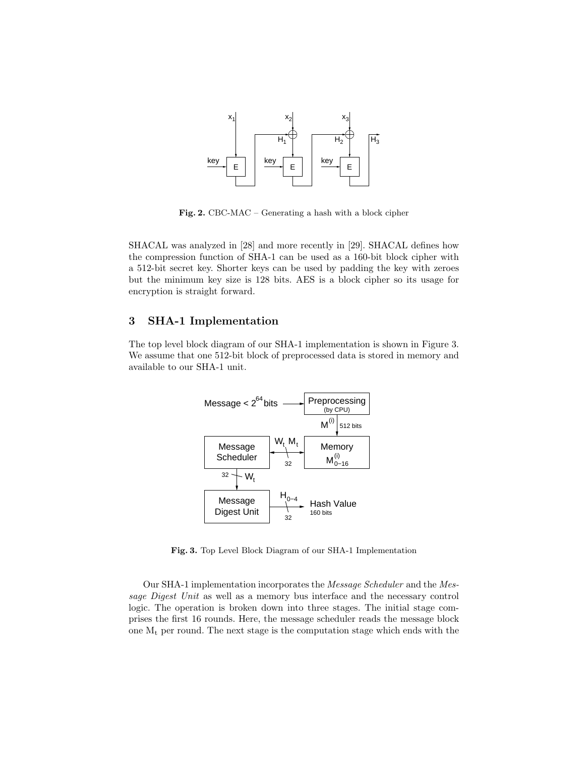

Fig. 2. CBC-MAC – Generating a hash with a block cipher

SHACAL was analyzed in [28] and more recently in [29]. SHACAL defines how the compression function of SHA-1 can be used as a 160-bit block cipher with a 512-bit secret key. Shorter keys can be used by padding the key with zeroes but the minimum key size is 128 bits. AES is a block cipher so its usage for encryption is straight forward.

# 3 SHA-1 Implementation

The top level block diagram of our SHA-1 implementation is shown in Figure 3. We assume that one 512-bit block of preprocessed data is stored in memory and available to our SHA-1 unit.



Fig. 3. Top Level Block Diagram of our SHA-1 Implementation

Our SHA-1 implementation incorporates the Message Scheduler and the Message Digest Unit as well as a memory bus interface and the necessary control logic. The operation is broken down into three stages. The initial stage comprises the first 16 rounds. Here, the message scheduler reads the message block one  $M_t$  per round. The next stage is the computation stage which ends with the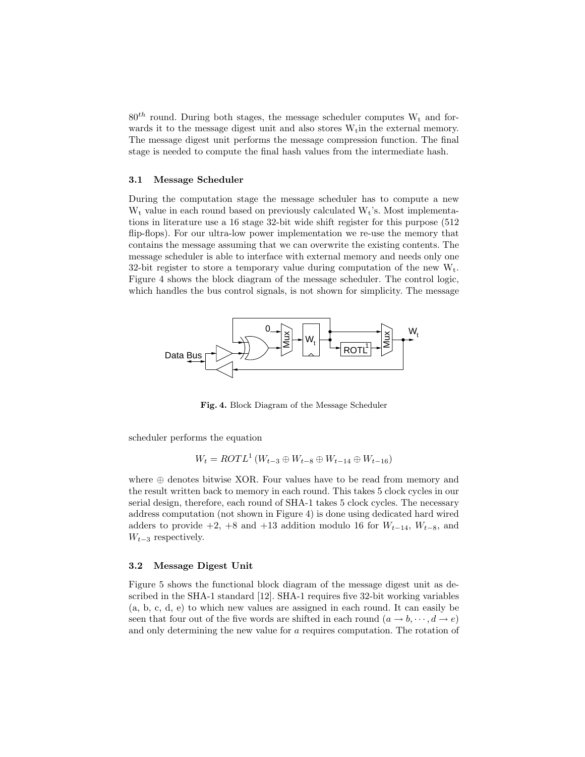$80^{th}$  round. During both stages, the message scheduler computes  $W_t$  and forwards it to the message digest unit and also stores  $W_t$  in the external memory. The message digest unit performs the message compression function. The final stage is needed to compute the final hash values from the intermediate hash.

#### 3.1 Message Scheduler

During the computation stage the message scheduler has to compute a new  $W_t$  value in each round based on previously calculated  $W_t$ 's. Most implementations in literature use a 16 stage 32-bit wide shift register for this purpose (512 flip-flops). For our ultra-low power implementation we re-use the memory that contains the message assuming that we can overwrite the existing contents. The message scheduler is able to interface with external memory and needs only one 32-bit register to store a temporary value during computation of the new  $W_t$ . Figure 4 shows the block diagram of the message scheduler. The control logic, which handles the bus control signals, is not shown for simplicity. The message



Fig. 4. Block Diagram of the Message Scheduler

scheduler performs the equation

$$
W_t = \text{ROTL}^1 \left( W_{t-3} \oplus W_{t-8} \oplus W_{t-14} \oplus W_{t-16} \right)
$$

where  $\oplus$  denotes bitwise XOR. Four values have to be read from memory and the result written back to memory in each round. This takes 5 clock cycles in our serial design, therefore, each round of SHA-1 takes 5 clock cycles. The necessary address computation (not shown in Figure 4) is done using dedicated hard wired adders to provide  $+2$ ,  $+8$  and  $+13$  addition modulo 16 for  $W_{t-14}$ ,  $W_{t-8}$ , and  $W_{t-3}$  respectively.

### 3.2 Message Digest Unit

Figure 5 shows the functional block diagram of the message digest unit as described in the SHA-1 standard [12]. SHA-1 requires five 32-bit working variables (a, b, c, d, e) to which new values are assigned in each round. It can easily be seen that four out of the five words are shifted in each round  $(a \rightarrow b, \dots, d \rightarrow e)$ and only determining the new value for a requires computation. The rotation of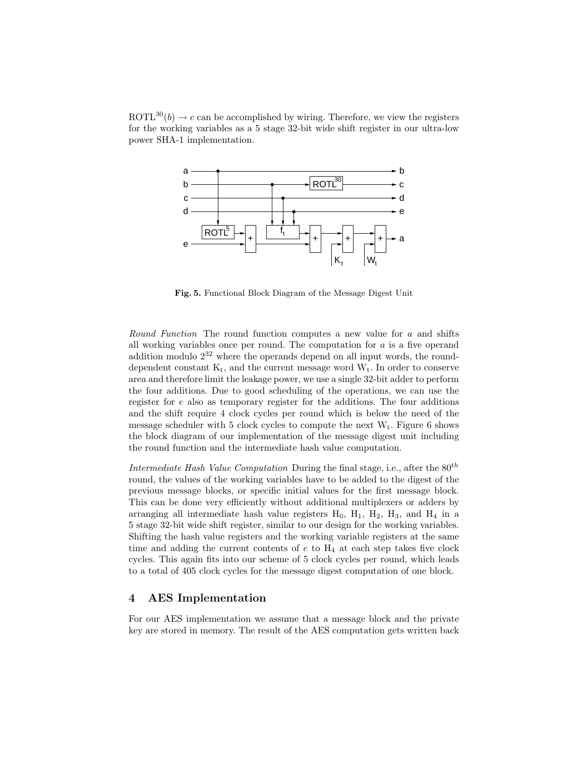ROTL<sup>30</sup> $(b) \rightarrow c$  can be accomplished by wiring. Therefore, we view the registers for the working variables as a 5 stage 32-bit wide shift register in our ultra-low power SHA-1 implementation.



Fig. 5. Functional Block Diagram of the Message Digest Unit

Round Function The round function computes a new value for a and shifts all working variables once per round. The computation for  $a$  is a five operand addition modulo  $2^{32}$  where the operands depend on all input words, the rounddependent constant  $K_t$ , and the current message word  $W_t$ . In order to conserve area and therefore limit the leakage power, we use a single 32-bit adder to perform the four additions. Due to good scheduling of the operations, we can use the register for e also as temporary register for the additions. The four additions and the shift require 4 clock cycles per round which is below the need of the message scheduler with 5 clock cycles to compute the next  $W_t$ . Figure 6 shows the block diagram of our implementation of the message digest unit including the round function and the intermediate hash value computation.

Intermediate Hash Value Computation During the final stage, i.e., after the  $80^{th}$ round, the values of the working variables have to be added to the digest of the previous message blocks, or specific initial values for the first message block. This can be done very efficiently without additional multiplexers or adders by arranging all intermediate hash value registers  $H_0$ ,  $H_1$ ,  $H_2$ ,  $H_3$ , and  $H_4$  in a 5 stage 32-bit wide shift register, similar to our design for the working variables. Shifting the hash value registers and the working variable registers at the same time and adding the current contents of  $e$  to  $H_4$  at each step takes five clock cycles. This again fits into our scheme of 5 clock cycles per round, which leads to a total of 405 clock cycles for the message digest computation of one block.

# 4 AES Implementation

For our AES implementation we assume that a message block and the private key are stored in memory. The result of the AES computation gets written back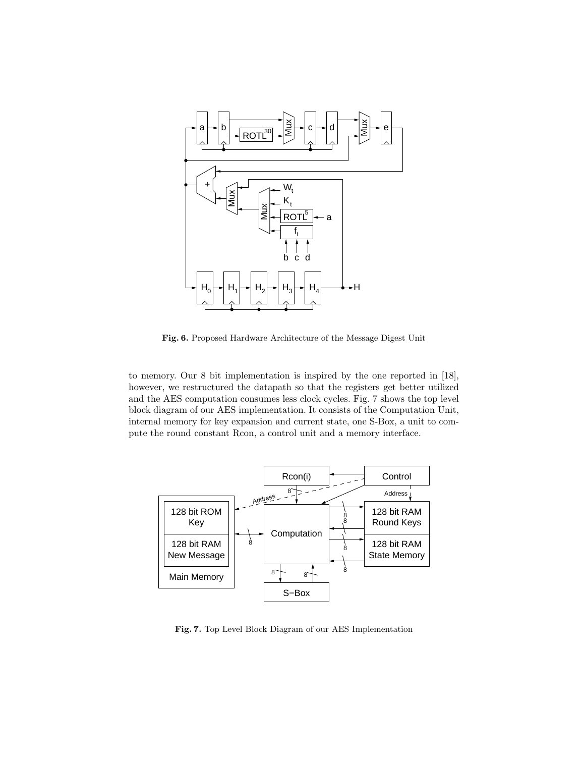

Fig. 6. Proposed Hardware Architecture of the Message Digest Unit

to memory. Our 8 bit implementation is inspired by the one reported in [18], however, we restructured the datapath so that the registers get better utilized and the AES computation consumes less clock cycles. Fig. 7 shows the top level block diagram of our AES implementation. It consists of the Computation Unit, internal memory for key expansion and current state, one S-Box, a unit to compute the round constant Rcon, a control unit and a memory interface.



Fig. 7. Top Level Block Diagram of our AES Implementation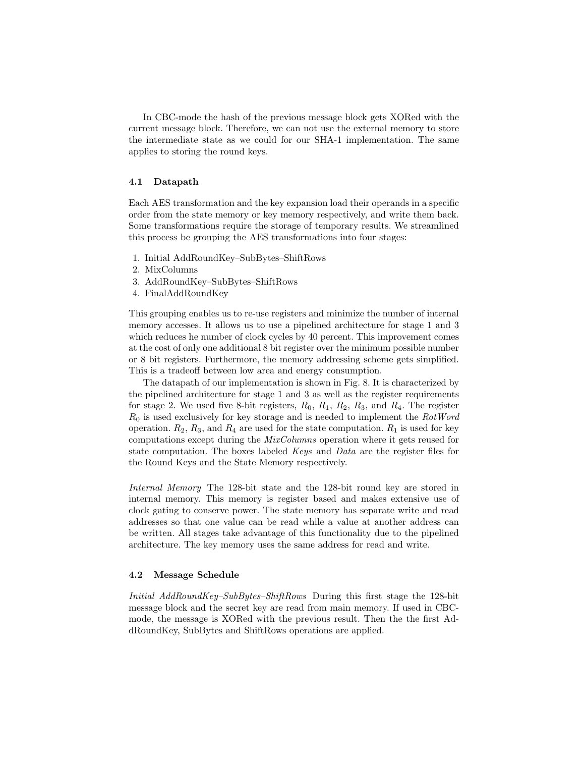In CBC-mode the hash of the previous message block gets XORed with the current message block. Therefore, we can not use the external memory to store the intermediate state as we could for our SHA-1 implementation. The same applies to storing the round keys.

### 4.1 Datapath

Each AES transformation and the key expansion load their operands in a specific order from the state memory or key memory respectively, and write them back. Some transformations require the storage of temporary results. We streamlined this process be grouping the AES transformations into four stages:

- 1. Initial AddRoundKey–SubBytes–ShiftRows
- 2. MixColumns
- 3. AddRoundKey–SubBytes–ShiftRows
- 4. FinalAddRoundKey

This grouping enables us to re-use registers and minimize the number of internal memory accesses. It allows us to use a pipelined architecture for stage 1 and 3 which reduces he number of clock cycles by 40 percent. This improvement comes at the cost of only one additional 8 bit register over the minimum possible number or 8 bit registers. Furthermore, the memory addressing scheme gets simplified. This is a tradeoff between low area and energy consumption.

The datapath of our implementation is shown in Fig. 8. It is characterized by the pipelined architecture for stage 1 and 3 as well as the register requirements for stage 2. We used five 8-bit registers,  $R_0, R_1, R_2, R_3$ , and  $R_4$ . The register  $R_0$  is used exclusively for key storage and is needed to implement the  $RotWord$ operation.  $R_2$ ,  $R_3$ , and  $R_4$  are used for the state computation.  $R_1$  is used for key computations except during the MixColumns operation where it gets reused for state computation. The boxes labeled Keys and Data are the register files for the Round Keys and the State Memory respectively.

Internal Memory The 128-bit state and the 128-bit round key are stored in internal memory. This memory is register based and makes extensive use of clock gating to conserve power. The state memory has separate write and read addresses so that one value can be read while a value at another address can be written. All stages take advantage of this functionality due to the pipelined architecture. The key memory uses the same address for read and write.

### 4.2 Message Schedule

Initial AddRoundKey–SubBytes–ShiftRows During this first stage the 128-bit message block and the secret key are read from main memory. If used in CBCmode, the message is XORed with the previous result. Then the the first AddRoundKey, SubBytes and ShiftRows operations are applied.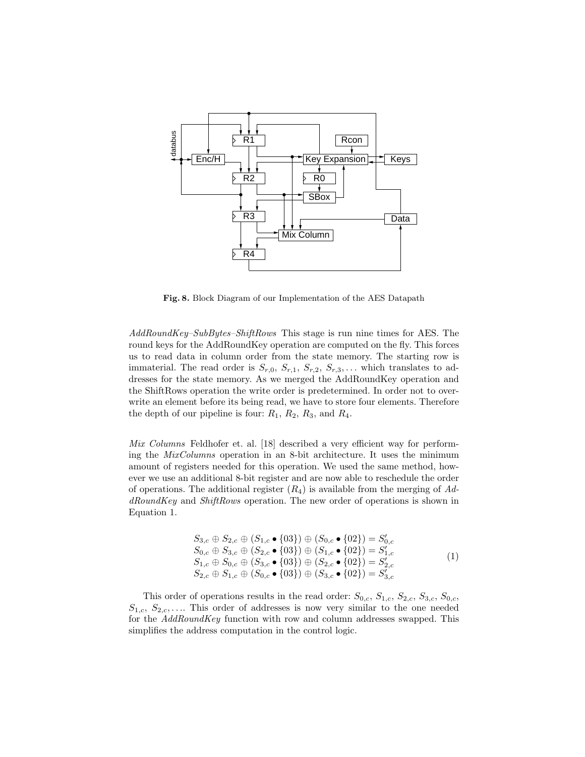

Fig. 8. Block Diagram of our Implementation of the AES Datapath

AddRoundKey–SubBytes–ShiftRows This stage is run nine times for AES. The round keys for the AddRoundKey operation are computed on the fly. This forces us to read data in column order from the state memory. The starting row is immaterial. The read order is  $S_{r,0}, S_{r,1}, S_{r,2}, S_{r,3}, \ldots$  which translates to addresses for the state memory. As we merged the AddRoundKey operation and the ShiftRows operation the write order is predetermined. In order not to overwrite an element before its being read, we have to store four elements. Therefore the depth of our pipeline is four:  $R_1$ ,  $R_2$ ,  $R_3$ , and  $R_4$ .

Mix Columns Feldhofer et. al. [18] described a very efficient way for performing the MixColumns operation in an 8-bit architecture. It uses the minimum amount of registers needed for this operation. We used the same method, however we use an additional 8-bit register and are now able to reschedule the order of operations. The additional register  $(R_4)$  is available from the merging of AddRoundKey and ShiftRows operation. The new order of operations is shown in Equation 1.

$$
S_{3,c} \oplus S_{2,c} \oplus (S_{1,c} \bullet \{03\}) \oplus (S_{0,c} \bullet \{02\}) = S'_{0,c} S_{0,c} \oplus S_{3,c} \oplus (S_{2,c} \bullet \{03\}) \oplus (S_{1,c} \bullet \{02\}) = S'_{1,c} S_{1,c} \oplus S_{0,c} \oplus (S_{3,c} \bullet \{03\}) \oplus (S_{2,c} \bullet \{02\}) = S'_{2,c} S_{2,c} \oplus S_{1,c} \oplus (S_{0,c} \bullet \{03\}) \oplus (S_{3,c} \bullet \{02\}) = S'_{3,c}
$$
\n(1)

This order of operations results in the read order:  $S_{0,c}$ ,  $S_{1,c}$ ,  $S_{2,c}$ ,  $S_{3,c}$ ,  $S_{0,c}$ ,  $S_{1,c}, S_{2,c}, \ldots$  This order of addresses is now very similar to the one needed for the AddRoundKey function with row and column addresses swapped. This simplifies the address computation in the control logic.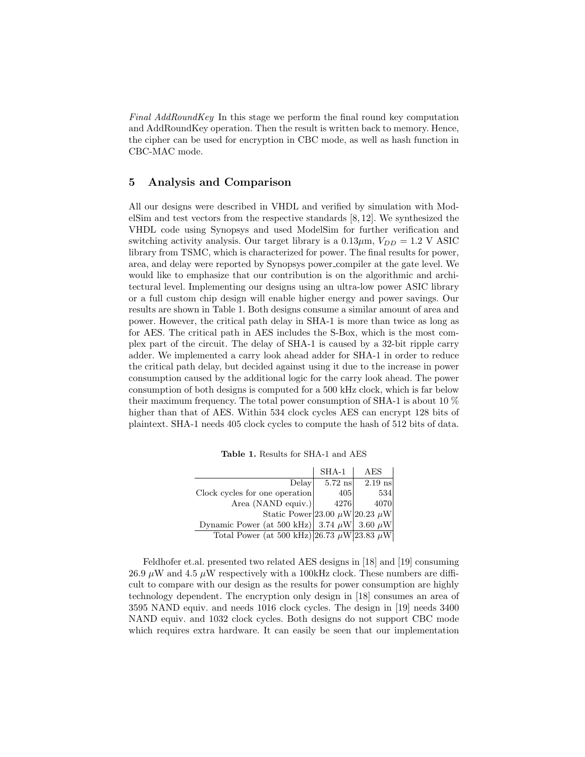Final AddRoundKey In this stage we perform the final round key computation and AddRoundKey operation. Then the result is written back to memory. Hence, the cipher can be used for encryption in CBC mode, as well as hash function in CBC-MAC mode.

### 5 Analysis and Comparison

All our designs were described in VHDL and verified by simulation with ModelSim and test vectors from the respective standards [8, 12]. We synthesized the VHDL code using Synopsys and used ModelSim for further verification and switching activity analysis. Our target library is a  $0.13 \mu m$ ,  $V_{DD} = 1.2$  V ASIC library from TSMC, which is characterized for power. The final results for power, area, and delay were reported by Synopsys power compiler at the gate level. We would like to emphasize that our contribution is on the algorithmic and architectural level. Implementing our designs using an ultra-low power ASIC library or a full custom chip design will enable higher energy and power savings. Our results are shown in Table 1. Both designs consume a similar amount of area and power. However, the critical path delay in SHA-1 is more than twice as long as for AES. The critical path in AES includes the S-Box, which is the most complex part of the circuit. The delay of SHA-1 is caused by a 32-bit ripple carry adder. We implemented a carry look ahead adder for SHA-1 in order to reduce the critical path delay, but decided against using it due to the increase in power consumption caused by the additional logic for the carry look ahead. The power consumption of both designs is computed for a 500 kHz clock, which is far below their maximum frequency. The total power consumption of SHA-1 is about 10 % higher than that of AES. Within 534 clock cycles AES can encrypt 128 bits of plaintext. SHA-1 needs 405 clock cycles to compute the hash of 512 bits of data.

| <b>Table 1.</b> Results for SHA-1 and AES |  |
|-------------------------------------------|--|
|-------------------------------------------|--|

|                                                      | $SHA-1$   | AES       |
|------------------------------------------------------|-----------|-----------|
| Delay                                                | $5.72$ ns | $2.19$ ns |
| Clock cycles for one operation                       | 405       | 534       |
| Area (NAND equiv.)                                   | 4276      | 4070      |
| Static Power 23.00 $\mu$ W 20.23 $\mu$ W             |           |           |
| Dynamic Power (at 500 kHz) 3.74 $\mu$ W 3.60 $\mu$ W |           |           |
| Total Power (at 500 kHz) 26.73 $\mu$ W 23.83 $\mu$ W |           |           |

Feldhofer et.al. presented two related AES designs in [18] and [19] consuming 26.9  $\mu$ W and 4.5  $\mu$ W respectively with a 100kHz clock. These numbers are difficult to compare with our design as the results for power consumption are highly technology dependent. The encryption only design in [18] consumes an area of 3595 NAND equiv. and needs 1016 clock cycles. The design in [19] needs 3400 NAND equiv. and 1032 clock cycles. Both designs do not support CBC mode which requires extra hardware. It can easily be seen that our implementation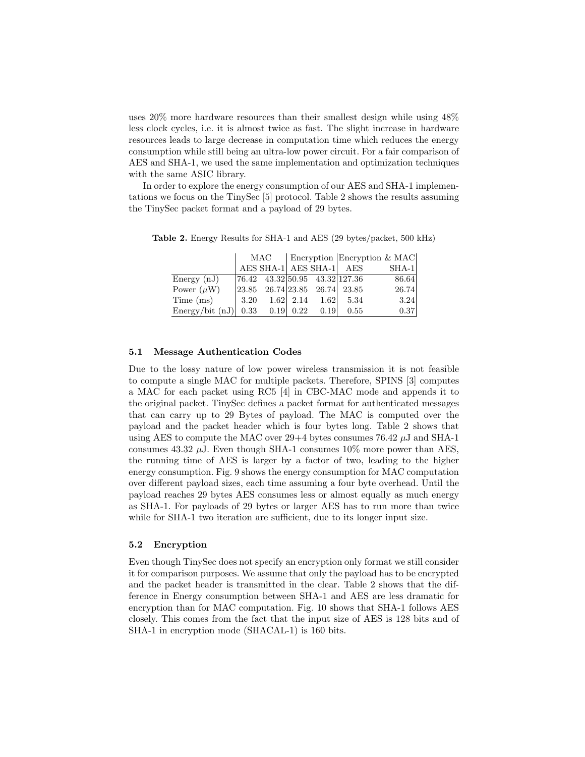uses 20% more hardware resources than their smallest design while using 48% less clock cycles, i.e. it is almost twice as fast. The slight increase in hardware resources leads to large decrease in computation time which reduces the energy consumption while still being an ultra-low power circuit. For a fair comparison of AES and SHA-1, we used the same implementation and optimization techniques with the same ASIC library.

In order to explore the energy consumption of our AES and SHA-1 implementations we focus on the TinySec [5] protocol. Table 2 shows the results assuming the TinySec packet format and a payload of 29 bytes.

|                                            | MAC                                                                                              | Encryption Encryption & MAC |  |                                               |       |
|--------------------------------------------|--------------------------------------------------------------------------------------------------|-----------------------------|--|-----------------------------------------------|-------|
|                                            |                                                                                                  |                             |  | AES SHA-1 AES SHA-1 AES                       | SHA-1 |
| Energy $(nJ)$                              |                                                                                                  |                             |  | $ 76.42 \quad 43.32 50.95 \quad 43.32 127.36$ | 86.64 |
| Power $(\mu W)$                            | $\begin{array}{ l} \n\boxed{23.85} \quad 26.74 \quad 23.85 \quad 26.74 \quad 23.85\n\end{array}$ |                             |  |                                               | 26.74 |
| Time (ms)                                  | $\begin{array}{ c c c c c c c c } \hline 3.20 & 1.62 & 2.14 & 1.62 & 5.34 \hline \end{array}$    |                             |  |                                               | 3.24  |
| Energy/bit $(nJ)$ 0.33 0.19 0.22 0.19 0.55 |                                                                                                  |                             |  |                                               | 0.37  |

Table 2. Energy Results for SHA-1 and AES (29 bytes/packet, 500 kHz)

### 5.1 Message Authentication Codes

Due to the lossy nature of low power wireless transmission it is not feasible to compute a single MAC for multiple packets. Therefore, SPINS [3] computes a MAC for each packet using RC5 [4] in CBC-MAC mode and appends it to the original packet. TinySec defines a packet format for authenticated messages that can carry up to 29 Bytes of payload. The MAC is computed over the payload and the packet header which is four bytes long. Table 2 shows that using AES to compute the MAC over  $29+4$  bytes consumes 76.42  $\mu$ J and SHA-1 consumes 43.32  $\mu$ J. Even though SHA-1 consumes 10% more power than AES, the running time of AES is larger by a factor of two, leading to the higher energy consumption. Fig. 9 shows the energy consumption for MAC computation over different payload sizes, each time assuming a four byte overhead. Until the payload reaches 29 bytes AES consumes less or almost equally as much energy as SHA-1. For payloads of 29 bytes or larger AES has to run more than twice while for SHA-1 two iteration are sufficient, due to its longer input size.

#### 5.2 Encryption

Even though TinySec does not specify an encryption only format we still consider it for comparison purposes. We assume that only the payload has to be encrypted and the packet header is transmitted in the clear. Table 2 shows that the difference in Energy consumption between SHA-1 and AES are less dramatic for encryption than for MAC computation. Fig. 10 shows that SHA-1 follows AES closely. This comes from the fact that the input size of AES is 128 bits and of SHA-1 in encryption mode (SHACAL-1) is 160 bits.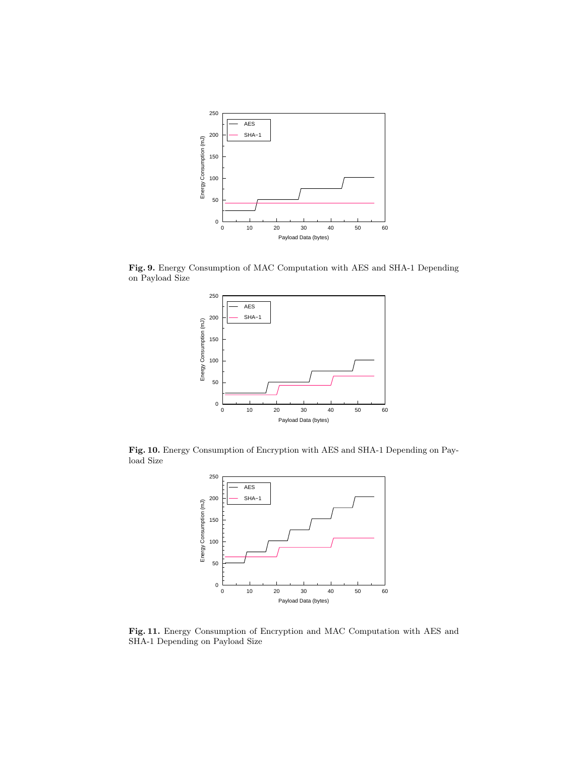

Fig. 9. Energy Consumption of MAC Computation with AES and SHA-1 Depending on Payload Size



Fig. 10. Energy Consumption of Encryption with AES and SHA-1 Depending on Payload Size



Fig. 11. Energy Consumption of Encryption and MAC Computation with AES and SHA-1 Depending on Payload Size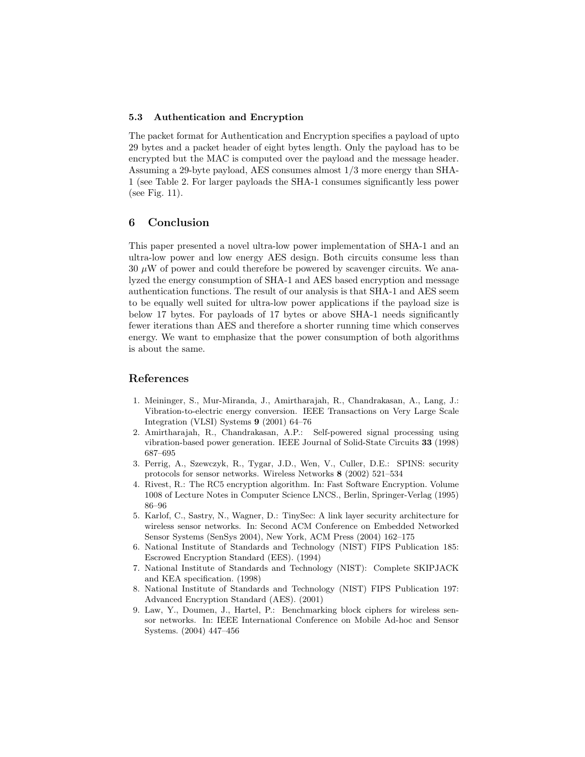### 5.3 Authentication and Encryption

The packet format for Authentication and Encryption specifies a payload of upto 29 bytes and a packet header of eight bytes length. Only the payload has to be encrypted but the MAC is computed over the payload and the message header. Assuming a 29-byte payload, AES consumes almost 1/3 more energy than SHA-1 (see Table 2. For larger payloads the SHA-1 consumes significantly less power (see Fig. 11).

# 6 Conclusion

This paper presented a novel ultra-low power implementation of SHA-1 and an ultra-low power and low energy AES design. Both circuits consume less than  $30 \mu$ W of power and could therefore be powered by scavenger circuits. We analyzed the energy consumption of SHA-1 and AES based encryption and message authentication functions. The result of our analysis is that SHA-1 and AES seem to be equally well suited for ultra-low power applications if the payload size is below 17 bytes. For payloads of 17 bytes or above SHA-1 needs significantly fewer iterations than AES and therefore a shorter running time which conserves energy. We want to emphasize that the power consumption of both algorithms is about the same.

# References

- 1. Meininger, S., Mur-Miranda, J., Amirtharajah, R., Chandrakasan, A., Lang, J.: Vibration-to-electric energy conversion. IEEE Transactions on Very Large Scale Integration (VLSI) Systems 9 (2001) 64–76
- 2. Amirtharajah, R., Chandrakasan, A.P.: Self-powered signal processing using vibration-based power generation. IEEE Journal of Solid-State Circuits 33 (1998) 687–695
- 3. Perrig, A., Szewczyk, R., Tygar, J.D., Wen, V., Culler, D.E.: SPINS: security protocols for sensor networks. Wireless Networks 8 (2002) 521–534
- 4. Rivest, R.: The RC5 encryption algorithm. In: Fast Software Encryption. Volume 1008 of Lecture Notes in Computer Science LNCS., Berlin, Springer-Verlag (1995) 86–96
- 5. Karlof, C., Sastry, N., Wagner, D.: TinySec: A link layer security architecture for wireless sensor networks. In: Second ACM Conference on Embedded Networked Sensor Systems (SenSys 2004), New York, ACM Press (2004) 162–175
- 6. National Institute of Standards and Technology (NIST) FIPS Publication 185: Escrowed Encryption Standard (EES). (1994)
- 7. National Institute of Standards and Technology (NIST): Complete SKIPJACK and KEA specification. (1998)
- 8. National Institute of Standards and Technology (NIST) FIPS Publication 197: Advanced Encryption Standard (AES). (2001)
- 9. Law, Y., Doumen, J., Hartel, P.: Benchmarking block ciphers for wireless sensor networks. In: IEEE International Conference on Mobile Ad-hoc and Sensor Systems. (2004) 447–456